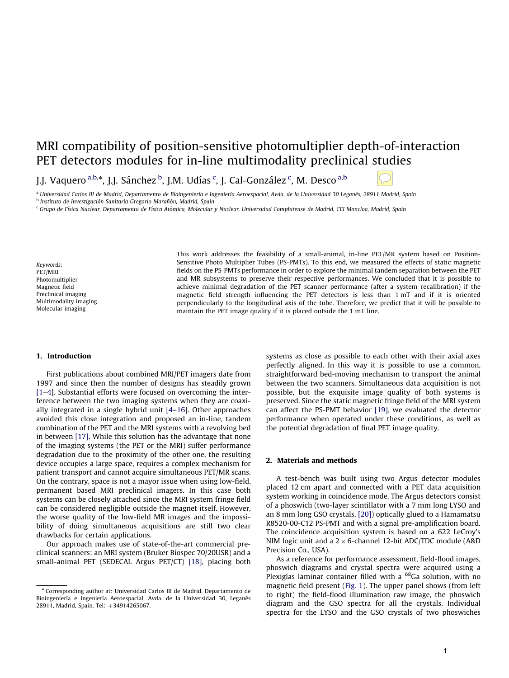# MRI compatibility of position-sensitive photomultiplier depth-of-interaction PET detectors modules for in-line multimodality preclinical studies

J.J. Vaquero <sup>a,b,</sup>\*, J.J. Sánchez <sup>b</sup>, J.M. Udías <sup>c</sup>, J. Cal-González <sup>c</sup>, M. Desco <sup>a,b</sup>

<sup>a</sup> Universidad Carlos III de Madrid, Departamento de Bioingeniería e Ingeniería Aeroespacial, Avda. de la Universidad 30 Leganés, 28911 Madrid, Spain

<sup>b</sup> Instituto de Investigación Sanitaria Gregorio Marañón, Madrid, Spain

<sup>c</sup> Grupo de Física Nuclear, Departamento de Física Atómica, Molecular y Nuclear, Universidad Complutense de Madrid, CEI Moncloa, Madrid, Spain

Keywords: PET/MRI Photomultiplier Magnetic field Preclinical imaging Multimodality imaging Molecular imaging

This work addresses the feasibility of a small-animal, in-line PET/MR system based on Position-Sensitive Photo Multiplier Tubes (PS-PMTs). To this end, we measured the effects of static magnetic fields on the PS-PMTs performance in order to explore the minimal tandem separation between the PET and MR subsystems to preserve their respective performances. We concluded that it is possible to achieve minimal degradation of the PET scanner performance (after a system recalibration) if the magnetic field strength influencing the PET detectors is less than 1 mT and if it is oriented perpendicularly to the longitudinal axis of the tube. Therefore, we predict that it will be possible to maintain the PET image quality if it is placed outside the 1 mT line.

#### 1. Introduction

First publications about combined MRI/PET imagers date from 1997 and since then the number of designs has steadily grown [1–4]. Substantial efforts were focused on overcoming the interference between the two imaging systems when they are coaxially integrated in a single hybrid unit [4–16]. Other approaches avoided this close integration and proposed an in-line, tandem combination of the PET and the MRI systems with a revolving bed in between [17]. While this solution has the advantage that none of the imaging systems (the PET or the MRI) suffer performance degradation due to the proximity of the other one, the resulting device occupies a large space, requires a complex mechanism for patient transport and cannot acquire simultaneous PET/MR scans. On the contrary, space is not a mayor issue when using low-field, permanent based MRI preclinical imagers. In this case both systems can be closely attached since the MRI system fringe field can be considered negligible outside the magnet itself. However, the worse quality of the low-field MR images and the impossibility of doing simultaneous acquisitions are still two clear drawbacks for certain applications.

Our approach makes use of state-of-the-art commercial preclinical scanners: an MRI system (Bruker Biospec 70/20USR) and a small-animal PET (SEDECAL Argus PET/CT) [18], placing both systems as close as possible to each other with their axial axes perfectly aligned. In this way it is possible to use a common, straightforward bed-moving mechanism to transport the animal between the two scanners. Simultaneous data acquisition is not possible, but the exquisite image quality of both systems is preserved. Since the static magnetic fringe field of the MRI system can affect the PS-PMT behavior [19], we evaluated the detector performance when operated under these conditions, as well as the potential degradation of final PET image quality.

#### 2. Materials and methods

A test-bench was built using two Argus detector modules placed 12 cm apart and connected with a PET data acquisition system working in coincidence mode. The Argus detectors consist of a phoswich (two-layer scintillator with a 7 mm long LYSO and an 8 mm long GSO crystals, [20]) optically glued to a Hamamatsu R8520-00-C12 PS-PMT and with a signal pre-amplification board. The coincidence acquisition system is based on a 622 LeCroy's NIM logic unit and a  $2 \times 6$ -channel 12-bit ADC/TDC module (A&D Precision Co., USA).

As a reference for performance assessment, field-flood images, phoswich diagrams and crystal spectra were acquired using a Plexiglas laminar container filled with a <sup>68</sup>Ga solution, with no magnetic field present (Fig. 1). The upper panel shows (from left to right) the field-flood illumination raw image, the phoswich diagram and the GSO spectra for all the crystals. Individual spectra for the LYSO and the GSO crystals of two phoswiches

<sup>n</sup> Corresponding author at: Universidad Carlos III de Madrid, Departamento de Bioingeniería e Ingeniería Aeroespacial, Avda. de la Universidad 30, Leganés 28911, Madrid, Spain. Tel: +34914265067.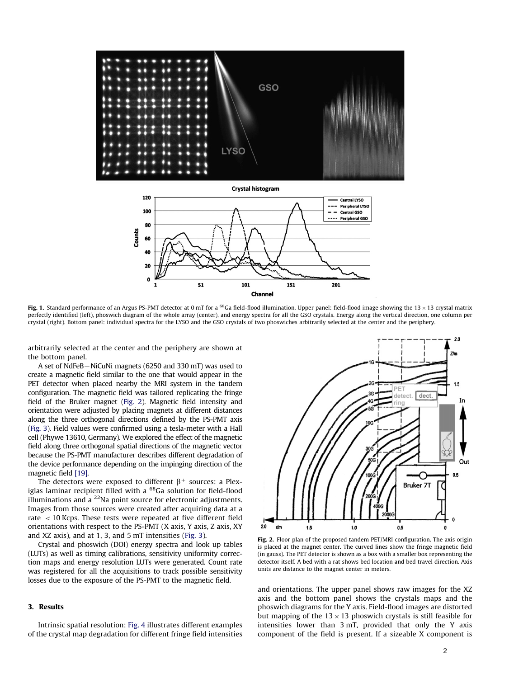

**Crystal histogram** 120 **Central LYSO Peripheral LYSC** 100 **Central GSO** ...... Peripheral GSO 80 Counts 60 40  $\overline{2}$  $\mathbf{a}$ 151 51 101 201 Channel

Fig. 1. Standard performance of an Argus PS-PMT detector at 0 mT for a  $^{68}$ Ga field-flood illumination. Upper panel: field-flood image showing the 13 × 13 crystal matrix perfectly identified (left), phoswich diagram of the whole array (center), and energy spectra for all the GSO crystals. Energy along the vertical direction, one column per crystal (right). Bottom panel: individual spectra for the LYSO and the GSO crystals of two phoswiches arbitrarily selected at the center and the periphery.

arbitrarily selected at the center and the periphery are shown at the bottom panel.

A set of  $NdFeB + NiCuNi$  magnets (6250 and 330 mT) was used to create a magnetic field similar to the one that would appear in the PET detector when placed nearby the MRI system in the tandem configuration. The magnetic field was tailored replicating the fringe field of the Bruker magnet (Fig. 2). Magnetic field intensity and orientation were adjusted by placing magnets at different distances along the three orthogonal directions defined by the PS-PMT axis (Fig. 3). Field values were confirmed using a tesla-meter with a Hall cell (Phywe 13610, Germany). We explored the effect of the magnetic field along three orthogonal spatial directions of the magnetic vector because the PS-PMT manufacturer describes different degradation of the device performance depending on the impinging direction of the magnetic field [19].

The detectors were exposed to different  $\beta^+$  sources: a Plexiglas laminar recipient filled with a <sup>68</sup>Ga solution for field-flood illuminations and a  $^{22}$ Na point source for electronic adjustments. Images from those sources were created after acquiring data at a rate  $<$  10 Kcps. These tests were repeated at five different field orientations with respect to the PS-PMT (X axis, Y axis, Z axis, XY and XZ axis), and at 1, 3, and 5 mT intensities (Fig. 3).

Crystal and phoswich (DOI) energy spectra and look up tables (LUTs) as well as timing calibrations, sensitivity uniformity correction maps and energy resolution LUTs were generated. Count rate was registered for all the acquisitions to track possible sensitivity losses due to the exposure of the PS-PMT to the magnetic field.

### 3. Results

Intrinsic spatial resolution: Fig. 4 illustrates different examples of the crystal map degradation for different fringe field intensities



Fig. 2. Floor plan of the proposed tandem PET/MRI configuration. The axis origin is placed at the magnet center. The curved lines show the fringe magnetic field (in gauss). The PET detector is shown as a box with a smaller box representing the detector itself. A bed with a rat shows bed location and bed travel direction. Axis units are distance to the magnet center in meters.

and orientations. The upper panel shows raw images for the XZ axis and the bottom panel shows the crystals maps and the phoswich diagrams for the Y axis. Field-flood images are distorted but mapping of the 13  $\times$  13 phoswich crystals is still feasible for intensities lower than 3 mT, provided that only the Y axis component of the field is present. If a sizeable X component is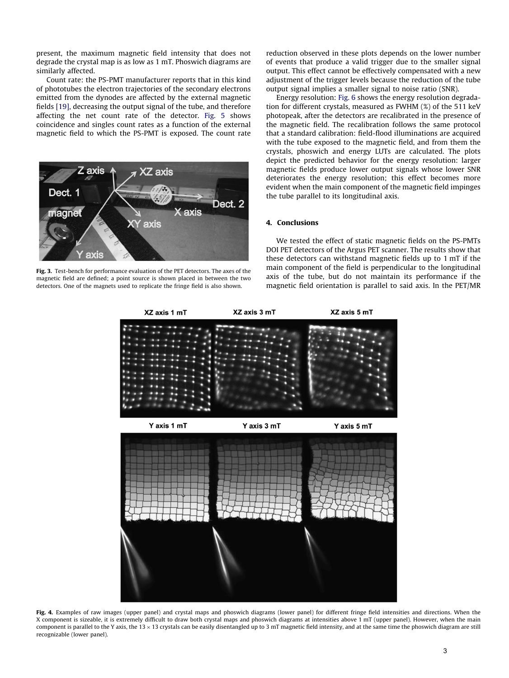present, the maximum magnetic field intensity that does not degrade the crystal map is as low as 1 mT. Phoswich diagrams are similarly affected.

Count rate: the PS-PMT manufacturer reports that in this kind of phototubes the electron trajectories of the secondary electrons emitted from the dynodes are affected by the external magnetic fields [19], decreasing the output signal of the tube, and therefore affecting the net count rate of the detector. Fig. 5 shows coincidence and singles count rates as a function of the external magnetic field to which the PS-PMT is exposed. The count rate



Fig. 3. Test-bench for performance evaluation of the PET detectors. The axes of the magnetic field are defined; a point source is shown placed in between the two detectors. One of the magnets used to replicate the fringe field is also shown.

reduction observed in these plots depends on the lower number of events that produce a valid trigger due to the smaller signal output. This effect cannot be effectively compensated with a new adjustment of the trigger levels because the reduction of the tube output signal implies a smaller signal to noise ratio (SNR).

Energy resolution: Fig. 6 shows the energy resolution degradation for different crystals, measured as FWHM (%) of the 511 keV photopeak, after the detectors are recalibrated in the presence of the magnetic field. The recalibration follows the same protocol that a standard calibration: field-flood illuminations are acquired with the tube exposed to the magnetic field, and from them the crystals, phoswich and energy LUTs are calculated. The plots depict the predicted behavior for the energy resolution: larger magnetic fields produce lower output signals whose lower SNR deteriorates the energy resolution; this effect becomes more evident when the main component of the magnetic field impinges the tube parallel to its longitudinal axis.

## 4. Conclusions

We tested the effect of static magnetic fields on the PS-PMTs DOI PET detectors of the Argus PET scanner. The results show that these detectors can withstand magnetic fields up to 1 mT if the main component of the field is perpendicular to the longitudinal axis of the tube, but do not maintain its performance if the magnetic field orientation is parallel to said axis. In the PET/MR



Fig. 4. Examples of raw images (upper panel) and crystal maps and phoswich diagrams (lower panel) for different fringe field intensities and directions. When the X component is sizeable, it is extremely difficult to draw both crystal maps and phoswich diagrams at intensities above 1 mT (upper panel). However, when the main component is parallel to the Y axis, the 13  $\times$  13 crystals can be easily disentangled up to 3 mT magnetic field intensity, and at the same time the phoswich diagram are still recognizable (lower panel).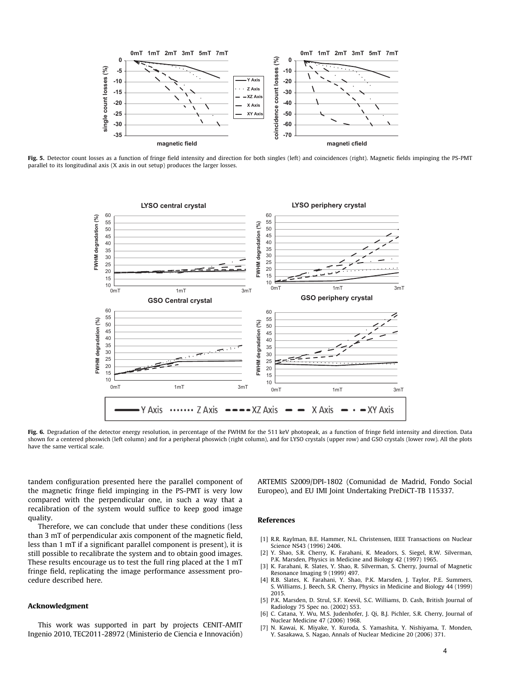

Fig. 5. Detector count losses as a function of fringe field intensity and direction for both singles (left) and coincidences (right). Magnetic fields impinging the PS-PMT parallel to its longitudinal axis (X axis in out setup) produces the larger losses.



Fig. 6. Degradation of the detector energy resolution, in percentage of the FWHM for the 511 keV photopeak, as a function of fringe field intensity and direction. Data shown for a centered phoswich (left column) and for a peripheral phoswich (right column), and for LYSO crystals (upper row) and GSO crystals (lower row). All the plots have the same vertical scale.

tandem configuration presented here the parallel component of the magnetic fringe field impinging in the PS-PMT is very low compared with the perpendicular one, in such a way that a recalibration of the system would suffice to keep good image quality.

Therefore, we can conclude that under these conditions (less than 3 mT of perpendicular axis component of the magnetic field, less than 1 mT if a significant parallel component is present), it is still possible to recalibrate the system and to obtain good images. These results encourage us to test the full ring placed at the 1 mT fringe field, replicating the image performance assessment procedure described here.

# Acknowledgment

This work was supported in part by projects CENIT-AMIT Ingenio 2010, TEC2011-28972 (Ministerio de Ciencia e Innovación) ARTEMIS S2009/DPI-1802 (Comunidad de Madrid, Fondo Social Europeo), and EU IMI Joint Undertaking PreDiCT-TB 115337.

### References

- [1] R.R. Raylman, B.E. Hammer, N.L. Christensen, IEEE Transactions on Nuclear Science NS43 (1996) 2406.
- [2] Y. Shao, S.R. Cherry, K. Farahani, K. Meadors, S. Siegel, R.W. Silverman, P.K. Marsden, Physics in Medicine and Biology 42 (1997) 1965.
- [3] K. Farahani, R. Slates, Y. Shao, R. Silverman, S. Cherry, Journal of Magnetic Resonance Imaging 9 (1999) 497.
- [4] R.B. Slates, K. Farahani, Y. Shao, P.K. Marsden, J. Taylor, P.E. Summers, S. Williams, J. Beech, S.R. Cherry, Physics in Medicine and Biology 44 (1999) 2015.
- [5] P.K. Marsden, D. Strul, S.F. Keevil, S.C. Williams, D. Cash, British Journal of Radiology 75 Spec no. (2002) S53.
- [6] C. Catana, Y. Wu, M.S. Judenhofer, J. Qi, B.J. Pichler, S.R. Cherry, Journal of Nuclear Medicine 47 (2006) 1968.
- [7] N. Kawai, K. Miyake, Y. Kuroda, S. Yamashita, Y. Nishiyama, T. Monden, Y. Sasakawa, S. Nagao, Annals of Nuclear Medicine 20 (2006) 371.